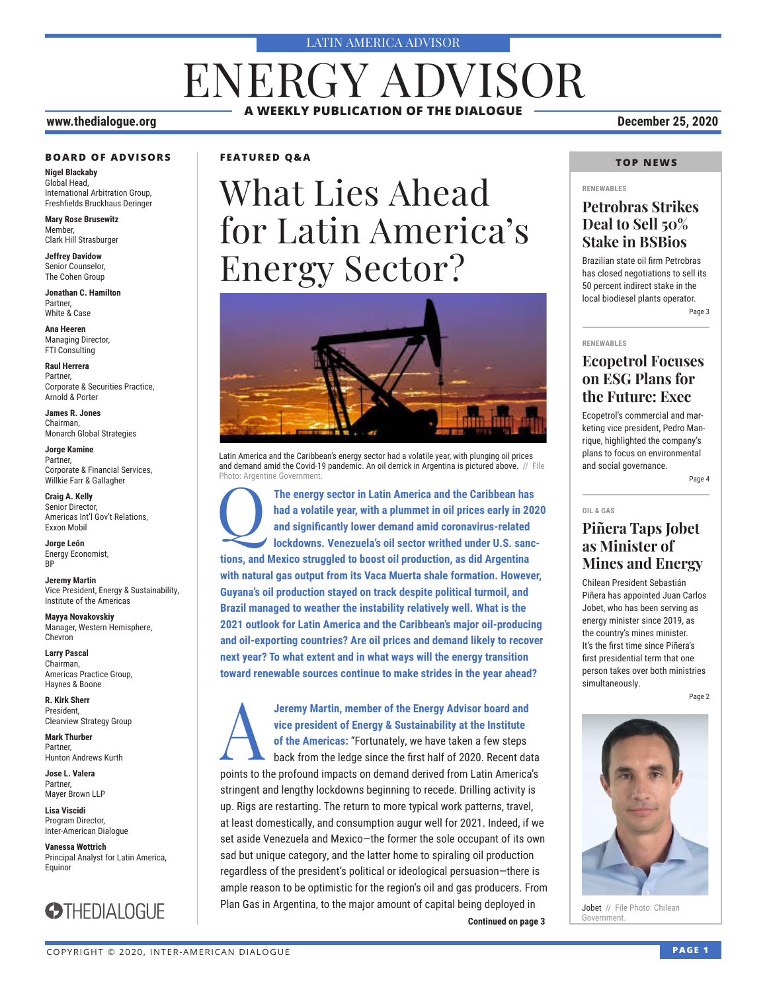#### LATIN AMERICA ADVISOR

# ENERGY ADVISOR **A WEEKLY PUBLICATION OF THE DIALOGUE**

#### **www.thedialogue.org December 25, 2020**

#### **BOARD OF ADVISORS**

**Nigel Blackaby** Global Head, International Arbitration Group, Freshfields Bruckhaus Deringer

**Mary Rose Brusewitz** Member, Clark Hill Strasburger

**Jeffrey Davidow** Senior Counselor, The Cohen Group

**Jonathan C. Hamilton** Partner, White & Case

**Ana Heeren** Managing Director, FTI Consulting

**Raul Herrera** Partner, Corporate & Securities Practice, Arnold & Porter

**James R. Jones** Chairman, Monarch Global Strategies

**Jorge Kamine** Partner, Corporate & Financial Services, Willkie Farr & Gallagher

**Craig A. Kelly** Senior Director, Americas Int'l Gov't Relations, Exxon Mobil

**Jorge León** Energy Economist, **RP** 

**Jeremy Martin** Vice President, Energy & Sustainability, Institute of the Americas

**Mayya Novakovskiy** Manager, Western Hemisphere, Chevron

**Larry Pascal** Chairman, Americas Practice Group, Haynes & Boone

**R. Kirk Sherr** President, Clearview Strategy Group

**Mark Thurber** Partner, Hunton Andrews Kurth

**Jose L. Valera** Partner, Mayer Brown LLP

**Lisa Viscidi** Program Director, Inter-American Dialogue

**Vanessa Wottrich** Principal Analyst for Latin America, Equinor



#### **FEATURED Q&A**

# What Lies Ahead for Latin America's Energy Sector?



Latin America and the Caribbean's energy sector had a volatile year, with plunging oil prices and demand amid the Covid-19 pandemic. An oil derrick in Argentina is pictured above. // File Photo: Argentine Government

The energy sector in Latin America and the Caribbean has<br>
had a volatile year, with a plummet in oil prices early in 202<br>
and significantly lower demand amid coronavirus-related<br>
lockdowns. Venezuela's oil sector writhed u **had a volatile year, with a plummet in oil prices early in 2020 and significantly lower demand amid coronavirus-related lockdowns. Venezuela's oil sector writhed under U.S. sanctions, and Mexico struggled to boost oil production, as did Argentina with natural gas output from its Vaca Muerta shale formation. However, Guyana's oil production stayed on track despite political turmoil, and Brazil managed to weather the instability relatively well. What is the 2021 outlook for Latin America and the Caribbean's major oil-producing and oil-exporting countries? Are oil prices and demand likely to recover next year? To what extent and in what ways will the energy transition toward renewable sources continue to make strides in the year ahead?**

**Continued on page 3 Covernment.** A**Jeremy Martin, member of the Energy Advisor board and vice president of Energy & Sustainability at the Institute of the Americas:** "Fortunately, we have taken a few steps back from the ledge since the first half of 2020. Recent data points to the profound impacts on demand derived from Latin America's stringent and lengthy lockdowns beginning to recede. Drilling activity is up. Rigs are restarting. The return to more typical work patterns, travel, at least domestically, and consumption augur well for 2021. Indeed, if we set aside Venezuela and Mexico—the former the sole occupant of its own sad but unique category, and the latter home to spiraling oil production regardless of the president's political or ideological persuasion—there is ample reason to be optimistic for the region's oil and gas producers. From Plan Gas in Argentina, to the major amount of capital being deployed in

#### **TOP NEWS**

#### **RENEWABLES**

#### **Petrobras Strikes Deal to Sell 50% Stake in BSBios**

Brazilian state oil firm Petrobras has closed negotiations to sell its 50 percent indirect stake in the local biodiesel plants operator. Page 3

**RENEWABLES**

#### **Ecopetrol Focuses on ESG Plans for the Future: Exec**

Ecopetrol's commercial and marketing vice president, Pedro Manrique, highlighted the company's plans to focus on environmental and social governance.

Page 4

#### **OIL & GAS**

### **Piñera Taps Jobet as Minister of Mines and Energy**

Chilean President Sebastián Piñera has appointed Juan Carlos Jobet, who has been serving as energy minister since 2019, as the country's mines minister. It's the first time since Piñera's first presidential term that one person takes over both ministries simultaneously.

Page 2



Jobet // File Photo: Chilean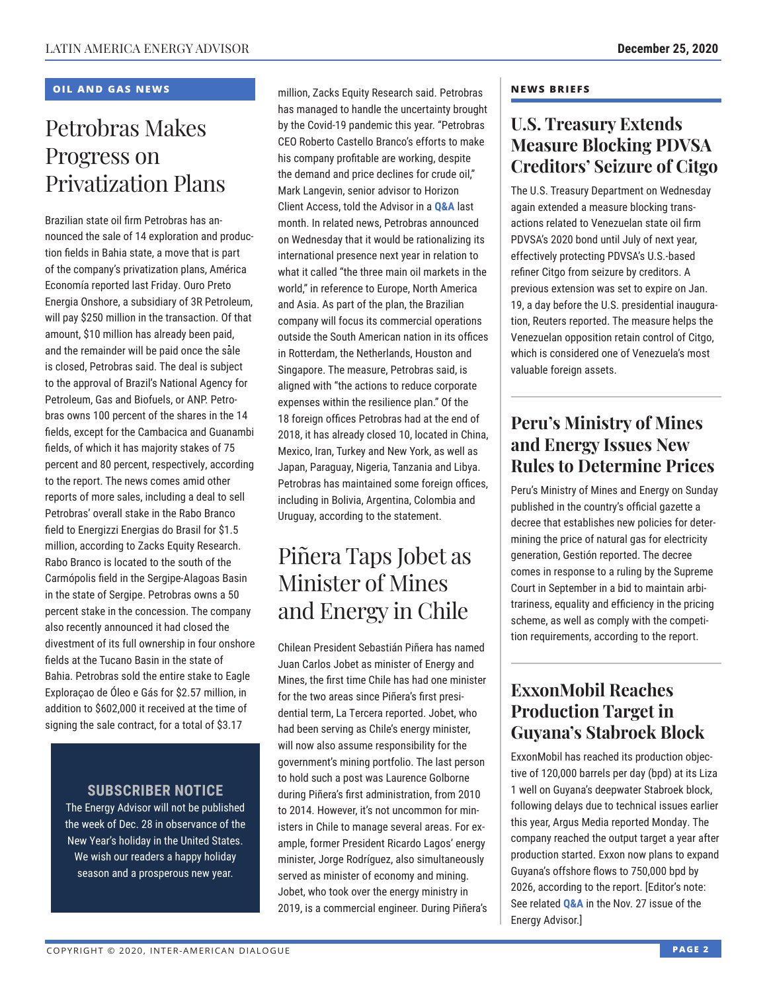#### **OIL AND GAS NEWS**

# Petrobras Makes Progress on Privatization Plans

Brazilian state oil firm Petrobras has announced the sale of 14 exploration and production fields in Bahia state, a move that is part of the company's privatization plans, América Economía reported last Friday. Ouro Preto Energia Onshore, a subsidiary of 3R Petroleum, will pay \$250 million in the transaction. Of that amount, \$10 million has already been paid, and the remainder will be paid once the sale is closed, Petrobras said. The deal is subject to the approval of Brazil's National Agency for Petroleum, Gas and Biofuels, or ANP. Petrobras owns 100 percent of the shares in the 14 fields, except for the Cambacica and Guanambi fields, of which it has majority stakes of 75 percent and 80 percent, respectively, according to the report. The news comes amid other reports of more sales, including a deal to sell Petrobras' overall stake in the Rabo Branco field to Energizzi Energias do Brasil for \$1.5 million, according to Zacks Equity Research. Rabo Branco is located to the south of the Carmópolis field in the Sergipe-Alagoas Basin in the state of Sergipe. Petrobras owns a 50 percent stake in the concession. The company also recently announced it had closed the divestment of its full ownership in four onshore fields at the Tucano Basin in the state of Bahia. Petrobras sold the entire stake to Eagle Exploraçao de Óleo e Gás for \$2.57 million, in addition to \$602,000 it received at the time of signing the sale contract, for a total of \$3.17

### **SUBSCRIBER NOTICE**

The Energy Advisor will not be published the week of Dec. 28 in observance of the New Year's holiday in the United States. We wish our readers a happy holiday season and a prosperous new year.

million, Zacks Equity Research said. Petrobras has managed to handle the uncertainty brought by the Covid-19 pandemic this year. "Petrobras CEO Roberto Castello Branco's efforts to make his company profitable are working, despite the demand and price declines for crude oil," Mark Langevin, senior advisor to Horizon Client Access, told the Advisor in a **[Q&A](http://www.thedialogue.org/wp-content/uploads/2020/11/LEA201113.pdf)** last month. In related news, Petrobras announced on Wednesday that it would be rationalizing its international presence next year in relation to what it called "the three main oil markets in the world," in reference to Europe, North America and Asia. As part of the plan, the Brazilian company will focus its commercial operations outside the South American nation in its offices in Rotterdam, the Netherlands, Houston and Singapore. The measure, Petrobras said, is aligned with "the actions to reduce corporate expenses within the resilience plan." Of the 18 foreign offices Petrobras had at the end of 2018, it has already closed 10, located in China, Mexico, Iran, Turkey and New York, as well as Japan, Paraguay, Nigeria, Tanzania and Libya. Petrobras has maintained some foreign offices, including in Bolivia, Argentina, Colombia and Uruguay, according to the statement.

# Piñera Taps Jobet as Minister of Mines and Energy in Chile

Chilean President Sebastián Piñera has named Juan Carlos Jobet as minister of Energy and Mines, the first time Chile has had one minister for the two areas since Piñera's first presidential term, La Tercera reported. Jobet, who had been serving as Chile's energy minister, will now also assume responsibility for the government's mining portfolio. The last person to hold such a post was Laurence Golborne during Piñera's first administration, from 2010 to 2014. However, it's not uncommon for ministers in Chile to manage several areas. For example, former President Ricardo Lagos' energy minister, Jorge Rodríguez, also simultaneously served as minister of economy and mining. Jobet, who took over the energy ministry in 2019, is a commercial engineer. During Piñera's

#### **NEWS BRIEFS**

### **U.S. Treasury Extends Measure Blocking PDVSA Creditors' Seizure of Citgo**

The U.S. Treasury Department on Wednesday again extended a measure blocking transactions related to Venezuelan state oil firm PDVSA's 2020 bond until July of next year, effectively protecting PDVSA's U.S.-based refiner Citgo from seizure by creditors. A previous extension was set to expire on Jan. 19, a day before the U.S. presidential inauguration, Reuters reported. The measure helps the Venezuelan opposition retain control of Citgo, which is considered one of Venezuela's most valuable foreign assets.

### **Peru's Ministry of Mines and Energy Issues New Rules to Determine Prices**

Peru's Ministry of Mines and Energy on Sunday published in the country's official gazette a decree that establishes new policies for determining the price of natural gas for electricity generation, Gestión reported. The decree comes in response to a ruling by the Supreme Court in September in a bid to maintain arbitrariness, equality and efficiency in the pricing scheme, as well as comply with the competition requirements, according to the report.

### **ExxonMobil Reaches Production Target in Guyana's Stabroek Block**

ExxonMobil has reached its production objective of 120,000 barrels per day (bpd) at its Liza 1 well on Guyana's deepwater Stabroek block, following delays due to technical issues earlier this year, Argus Media reported Monday. The company reached the output target a year after production started. Exxon now plans to expand Guyana's offshore flows to 750,000 bpd by 2026, according to the report. [Editor's note: See related **[Q&A](http://www.thedialogue.org/wp-content/uploads/2020/11/LEA201127.pdf)** in the Nov. 27 issue of the Energy Advisor.]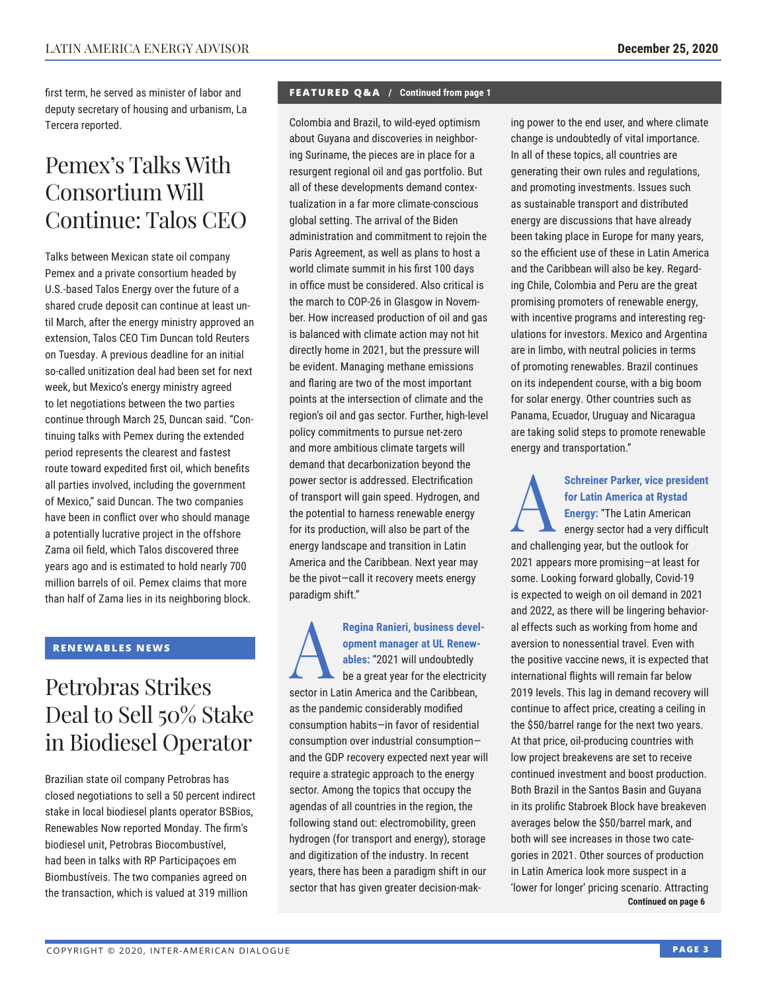first term, he served as minister of labor and deputy secretary of housing and urbanism, La Tercera reported.

# Pemex's Talks With Consortium Will Continue: Talos CEO

Talks between Mexican state oil company Pemex and a private consortium headed by U.S.-based Talos Energy over the future of a shared crude deposit can continue at least until March, after the energy ministry approved an extension, Talos CEO Tim Duncan told Reuters on Tuesday. A previous deadline for an initial so-called unitization deal had been set for next week, but Mexico's energy ministry agreed to let negotiations between the two parties continue through March 25, Duncan said. "Continuing talks with Pemex during the extended period represents the clearest and fastest route toward expedited first oil, which benefits all parties involved, including the government of Mexico," said Duncan. The two companies have been in conflict over who should manage a potentially lucrative project in the offshore Zama oil field, which Talos discovered three years ago and is estimated to hold nearly 700 million barrels of oil. Pemex claims that more than half of Zama lies in its neighboring block.

#### **RENEWABLES NEWS**

# Petrobras Strikes Deal to Sell 50% Stake in Biodiesel Operator

Brazilian state oil company Petrobras has closed negotiations to sell a 50 percent indirect stake in local biodiesel plants operator BSBios, Renewables Now reported Monday. The firm's biodiesel unit, Petrobras Biocombustível, had been in talks with RP Participaçoes em Biombustíveis. The two companies agreed on the transaction, which is valued at 319 million

#### **FEATURED Q&A / Continued from page 1**

Colombia and Brazil, to wild-eyed optimism about Guyana and discoveries in neighboring Suriname, the pieces are in place for a resurgent regional oil and gas portfolio. But all of these developments demand contextualization in a far more climate-conscious global setting. The arrival of the Biden administration and commitment to rejoin the Paris Agreement, as well as plans to host a world climate summit in his first 100 days in office must be considered. Also critical is the march to COP-26 in Glasgow in November. How increased production of oil and gas is balanced with climate action may not hit directly home in 2021, but the pressure will be evident. Managing methane emissions and flaring are two of the most important points at the intersection of climate and the region's oil and gas sector. Further, high-level policy commitments to pursue net-zero and more ambitious climate targets will demand that decarbonization beyond the power sector is addressed. Electrification of transport will gain speed. Hydrogen, and the potential to harness renewable energy for its production, will also be part of the energy landscape and transition in Latin America and the Caribbean. Next year may be the pivot—call it recovery meets energy paradigm shift."

Regina Ranieri, business development manager at UL Renewables: "2021 will undoubtedly<br>be a great year for the electricity **opment manager at UL Renewables:** "2021 will undoubtedly sector in Latin America and the Caribbean, as the pandemic considerably modified consumption habits—in favor of residential consumption over industrial consumption and the GDP recovery expected next year will require a strategic approach to the energy sector. Among the topics that occupy the agendas of all countries in the region, the following stand out: electromobility, green hydrogen (for transport and energy), storage and digitization of the industry. In recent years, there has been a paradigm shift in our sector that has given greater decision-making power to the end user, and where climate change is undoubtedly of vital importance. In all of these topics, all countries are generating their own rules and regulations, and promoting investments. Issues such as sustainable transport and distributed energy are discussions that have already been taking place in Europe for many years, so the efficient use of these in Latin America and the Caribbean will also be key. Regarding Chile, Colombia and Peru are the great promising promoters of renewable energy, with incentive programs and interesting regulations for investors. Mexico and Argentina are in limbo, with neutral policies in terms of promoting renewables. Brazil continues on its independent course, with a big boom for solar energy. Other countries such as Panama, Ecuador, Uruguay and Nicaragua are taking solid steps to promote renewable energy and transportation."

Schreiner Parker, vice president<br>
for Latin America at Rystad<br>
Energy: "The Latin American<br>
energy sector had a very difficult<br>
and the line singures but the settle latin **for Latin America at Rystad Energy:** "The Latin American and challenging year, but the outlook for 2021 appears more promising—at least for some. Looking forward globally, Covid-19 is expected to weigh on oil demand in 2021 and 2022, as there will be lingering behavioral effects such as working from home and aversion to nonessential travel. Even with the positive vaccine news, it is expected that international flights will remain far below 2019 levels. This lag in demand recovery will continue to affect price, creating a ceiling in the \$50/barrel range for the next two years. At that price, oil-producing countries with low project breakevens are set to receive continued investment and boost production. Both Brazil in the Santos Basin and Guyana in its prolific Stabroek Block have breakeven averages below the \$50/barrel mark, and both will see increases in those two categories in 2021. Other sources of production in Latin America look more suspect in a 'lower for longer' pricing scenario. Attracting **Continued on page 6**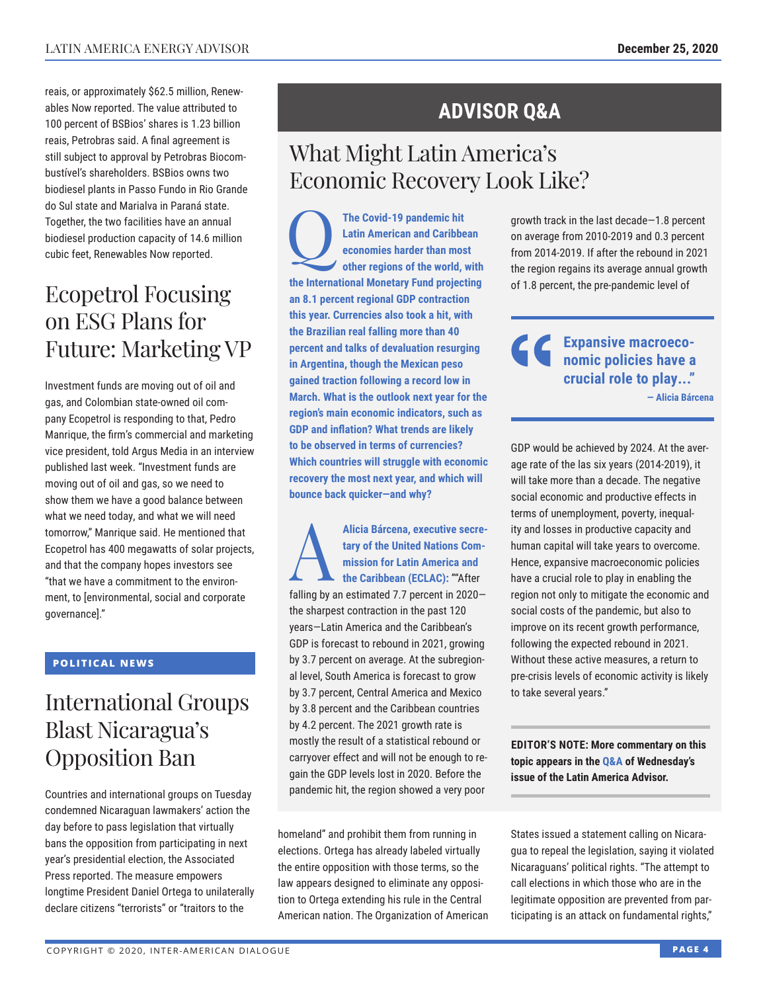reais, or approximately \$62.5 million, Renewables Now reported. The value attributed to 100 percent of BSBios' shares is 1.23 billion reais, Petrobras said. A final agreement is still subject to approval by Petrobras Biocombustível's shareholders. BSBios owns two biodiesel plants in Passo Fundo in Rio Grande do Sul state and Marialva in Paraná state. Together, the two facilities have an annual biodiesel production capacity of 14.6 million cubic feet, Renewables Now reported.

# Ecopetrol Focusing on ESG Plans for Future: Marketing VP

Investment funds are moving out of oil and gas, and Colombian state-owned oil company Ecopetrol is responding to that, Pedro Manrique, the firm's commercial and marketing vice president, told Argus Media in an interview published last week. "Investment funds are moving out of oil and gas, so we need to show them we have a good balance between what we need today, and what we will need tomorrow," Manrique said. He mentioned that Ecopetrol has 400 megawatts of solar projects, and that the company hopes investors see "that we have a commitment to the environment, to [environmental, social and corporate governance]."

#### **POLITICAL NEWS**

# International Groups Blast Nicaragua's Opposition Ban

Countries and international groups on Tuesday condemned Nicaraguan lawmakers' action the day before to pass legislation that virtually bans the opposition from participating in next year's presidential election, the Associated Press reported. The measure empowers longtime President Daniel Ortega to unilaterally declare citizens "terrorists" or "traitors to the

## **ADVISOR Q&A**

# What Might Latin America's Economic Recovery Look Like?

The Covid-19 pandemic hit<br>Latin American and Caribbe<br>economies harder than mos<br>other regions of the world. **Latin American and Caribbean economies harder than most other regions of the world, with the International Monetary Fund projecting an 8.1 percent regional GDP contraction this year. Currencies also took a hit, with the Brazilian real falling more than 40 percent and talks of devaluation resurging in Argentina, though the Mexican peso gained traction following a record low in March. What is the outlook next year for the region's main economic indicators, such as GDP and inflation? What trends are likely to be observed in terms of currencies? Which countries will struggle with economic recovery the most next year, and which will bounce back quicker—and why?**

Alicia Bárcena, executive secre-<br>
tary of the United Nations Com-<br>
mission for Latin America and<br>
the Caribbean (ECLAC): ""After<br>
folling have a stimulated 2.7 a group in 0.000 **tary of the United Nations Commission for Latin America and**  falling by an estimated 7.7 percent in 2020 the sharpest contraction in the past 120 years—Latin America and the Caribbean's GDP is forecast to rebound in 2021, growing by 3.7 percent on average. At the subregional level, South America is forecast to grow by 3.7 percent, Central America and Mexico by 3.8 percent and the Caribbean countries by 4.2 percent. The 2021 growth rate is mostly the result of a statistical rebound or carryover effect and will not be enough to regain the GDP levels lost in 2020. Before the pandemic hit, the region showed a very poor

homeland" and prohibit them from running in elections. Ortega has already labeled virtually the entire opposition with those terms, so the law appears designed to eliminate any opposition to Ortega extending his rule in the Central American nation. The Organization of American growth track in the last decade—1.8 percent on average from 2010-2019 and 0.3 percent from 2014-2019. If after the rebound in 2021 the region regains its average annual growth of 1.8 percent, the pre-pandemic level of

**Expansive macroeconomic policies have a crucial role to play..." — Alicia Bárcena**

GDP would be achieved by 2024. At the average rate of the las six years (2014-2019), it will take more than a decade. The negative social economic and productive effects in terms of unemployment, poverty, inequality and losses in productive capacity and human capital will take years to overcome. Hence, expansive macroeconomic policies have a crucial role to play in enabling the region not only to mitigate the economic and social costs of the pandemic, but also to improve on its recent growth performance, following the expected rebound in 2021. Without these active measures, a return to pre-crisis levels of economic activity is likely to take several years."

**EDITOR'S NOTE: More commentary on this topic appears in t[he Q&A of](http://www.thedialogue.org/wp-content/uploads/2020/12/LAA201223.pdf) Wednesday's issue of the Latin America Advisor.**

States issued a statement calling on Nicaragua to repeal the legislation, saying it violated Nicaraguans' political rights. "The attempt to call elections in which those who are in the legitimate opposition are prevented from participating is an attack on fundamental rights,"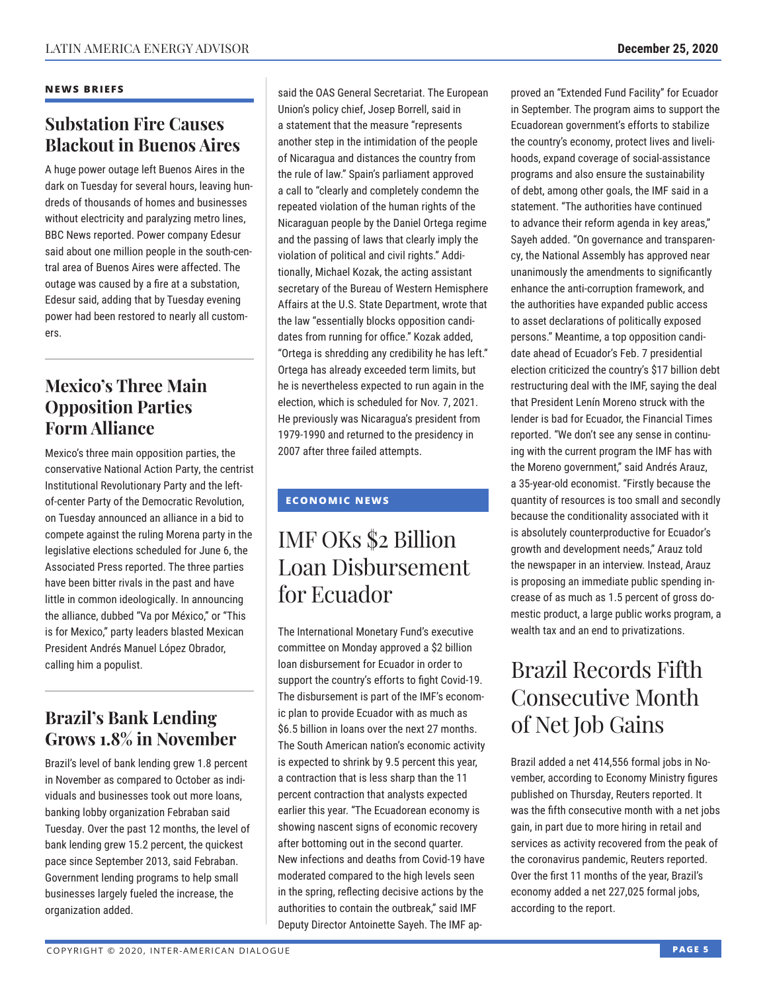#### **NEWS BRIEFS**

### **Substation Fire Causes Blackout in Buenos Aires**

A huge power outage left Buenos Aires in the dark on Tuesday for several hours, leaving hundreds of thousands of homes and businesses without electricity and paralyzing metro lines, BBC News reported. Power company Edesur said about one million people in the south-central area of Buenos Aires were affected. The outage was caused by a fire at a substation, Edesur said, adding that by Tuesday evening power had been restored to nearly all customers.

### **Mexico's Three Main Opposition Parties Form Alliance**

Mexico's three main opposition parties, the conservative National Action Party, the centrist Institutional Revolutionary Party and the leftof-center Party of the Democratic Revolution, on Tuesday announced an alliance in a bid to compete against the ruling Morena party in the legislative elections scheduled for June 6, the Associated Press reported. The three parties have been bitter rivals in the past and have little in common ideologically. In announcing the alliance, dubbed "Va por México," or "This is for Mexico," party leaders blasted Mexican President Andrés Manuel López Obrador, calling him a populist.

### **Brazil's Bank Lending Grows 1.8% in November**

Brazil's level of bank lending grew 1.8 percent in November as compared to October as individuals and businesses took out more loans, banking lobby organization Febraban said Tuesday. Over the past 12 months, the level of bank lending grew 15.2 percent, the quickest pace since September 2013, said Febraban. Government lending programs to help small businesses largely fueled the increase, the organization added.

said the OAS General Secretariat. The European Union's policy chief, Josep Borrell, said in a statement that the measure "represents another step in the intimidation of the people of Nicaragua and distances the country from the rule of law." Spain's parliament approved a call to "clearly and completely condemn the repeated violation of the human rights of the Nicaraguan people by the Daniel Ortega regime and the passing of laws that clearly imply the violation of political and civil rights." Additionally, Michael Kozak, the acting assistant secretary of the Bureau of Western Hemisphere Affairs at the U.S. State Department, wrote that the law "essentially blocks opposition candidates from running for office." Kozak added, "Ortega is shredding any credibility he has left." Ortega has already exceeded term limits, but he is nevertheless expected to run again in the election, which is scheduled for Nov. 7, 2021. He previously was Nicaragua's president from 1979-1990 and returned to the presidency in 2007 after three failed attempts.

### **ECONOMIC NEWS**

# IMF OKs \$2 Billion Loan Disbursement for Ecuador

The International Monetary Fund's executive committee on Monday approved a \$2 billion loan disbursement for Ecuador in order to support the country's efforts to fight Covid-19. The disbursement is part of the IMF's economic plan to provide Ecuador with as much as \$6.5 billion in loans over the next 27 months. The South American nation's economic activity is expected to shrink by 9.5 percent this year, a contraction that is less sharp than the 11 percent contraction that analysts expected earlier this year. "The Ecuadorean economy is showing nascent signs of economic recovery after bottoming out in the second quarter. New infections and deaths from Covid-19 have moderated compared to the high levels seen in the spring, reflecting decisive actions by the authorities to contain the outbreak," said IMF Deputy Director Antoinette Sayeh. The IMF approved an "Extended Fund Facility" for Ecuador in September. The program aims to support the Ecuadorean government's efforts to stabilize the country's economy, protect lives and livelihoods, expand coverage of social-assistance programs and also ensure the sustainability of debt, among other goals, the IMF said in a statement. "The authorities have continued to advance their reform agenda in key areas," Sayeh added. "On governance and transparency, the National Assembly has approved near unanimously the amendments to significantly enhance the anti-corruption framework, and the authorities have expanded public access to asset declarations of politically exposed persons." Meantime, a top opposition candidate ahead of Ecuador's Feb. 7 presidential election criticized the country's \$17 billion debt restructuring deal with the IMF, saying the deal that President Lenín Moreno struck with the lender is bad for Ecuador, the Financial Times reported. "We don't see any sense in continuing with the current program the IMF has with the Moreno government," said Andrés Arauz, a 35-year-old economist. "Firstly because the quantity of resources is too small and secondly because the conditionality associated with it is absolutely counterproductive for Ecuador's growth and development needs," Arauz told the newspaper in an interview. Instead, Arauz is proposing an immediate public spending increase of as much as 1.5 percent of gross domestic product, a large public works program, a wealth tax and an end to privatizations.

# Brazil Records Fifth Consecutive Month of Net Job Gains

Brazil added a net 414,556 formal jobs in November, according to Economy Ministry figures published on Thursday, Reuters reported. It was the fifth consecutive month with a net jobs gain, in part due to more hiring in retail and services as activity recovered from the peak of the coronavirus pandemic, Reuters reported. Over the first 11 months of the year, Brazil's economy added a net 227,025 formal jobs, according to the report.